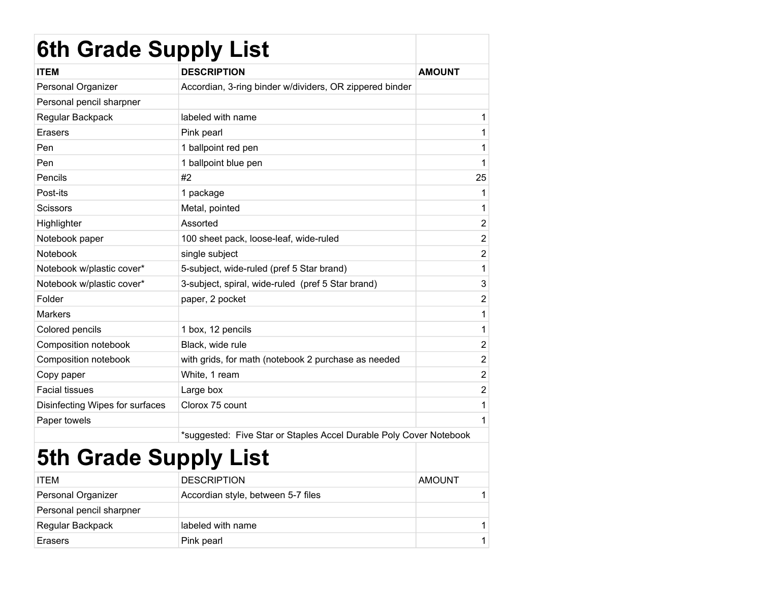| <b>6th Grade Supply List</b>    |                                                                    |                |
|---------------------------------|--------------------------------------------------------------------|----------------|
| <b>ITEM</b>                     | <b>DESCRIPTION</b>                                                 | <b>AMOUNT</b>  |
| Personal Organizer              | Accordian, 3-ring binder w/dividers, OR zippered binder            |                |
| Personal pencil sharpner        |                                                                    |                |
| Regular Backpack                | labeled with name                                                  | 1              |
| Erasers                         | Pink pearl                                                         | 1              |
| Pen                             | 1 ballpoint red pen                                                | 1              |
| Pen                             | 1 ballpoint blue pen                                               | 1              |
| Pencils                         | #2                                                                 | 25             |
| Post-its                        | 1 package                                                          | 1              |
| <b>Scissors</b>                 | Metal, pointed                                                     | 1              |
| Highlighter                     | Assorted                                                           | $\overline{2}$ |
| Notebook paper                  | 100 sheet pack, loose-leaf, wide-ruled                             | $\overline{2}$ |
| Notebook                        | single subject                                                     | $\overline{2}$ |
| Notebook w/plastic cover*       | 5-subject, wide-ruled (pref 5 Star brand)                          | 1              |
| Notebook w/plastic cover*       | 3-subject, spiral, wide-ruled (pref 5 Star brand)                  | 3              |
| Folder                          | paper, 2 pocket                                                    | $\overline{2}$ |
| <b>Markers</b>                  |                                                                    | 1              |
| Colored pencils                 | 1 box, 12 pencils                                                  | 1              |
| Composition notebook            | Black, wide rule                                                   | $\overline{2}$ |
| Composition notebook            | with grids, for math (notebook 2 purchase as needed                | $\overline{2}$ |
| Copy paper                      | White, 1 ream                                                      | $\overline{2}$ |
| <b>Facial tissues</b>           | Large box                                                          | $\overline{2}$ |
| Disinfecting Wipes for surfaces | Clorox 75 count                                                    | 1              |
| Paper towels                    |                                                                    | 1              |
|                                 | *suggested: Five Star or Staples Accel Durable Poly Cover Notebook |                |

## 5th Grade Supply List

|                          | .                                  |               |
|--------------------------|------------------------------------|---------------|
| <b>ITEM</b>              | <b>DESCRIPTION</b>                 | <b>AMOUNT</b> |
| Personal Organizer       | Accordian style, between 5-7 files |               |
| Personal pencil sharpner |                                    |               |
| Regular Backpack         | labeled with name                  |               |
| Erasers                  | Pink pearl                         |               |